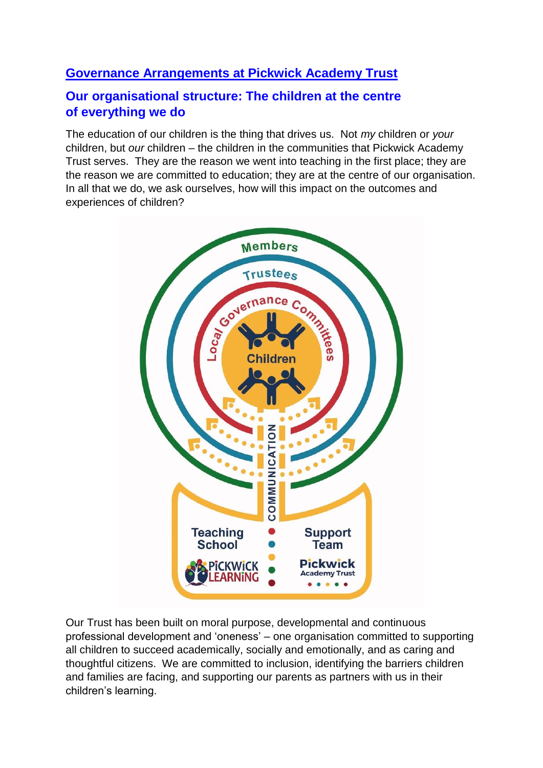# **Governance Arrangements at Pickwick Academy Trust**

## **Our organisational structure: The children at the centre of everything we do**

The education of our children is the thing that drives us. Not *my* children or *your* children, but *our* children – the children in the communities that Pickwick Academy Trust serves. They are the reason we went into teaching in the first place; they are the reason we are committed to education; they are at the centre of our organisation. In all that we do, we ask ourselves, how will this impact on the outcomes and experiences of children?



Our Trust has been built on moral purpose, developmental and continuous professional development and 'oneness' – one organisation committed to supporting all children to succeed academically, socially and emotionally, and as caring and thoughtful citizens. We are committed to inclusion, identifying the barriers children and families are facing, and supporting our parents as partners with us in their children's learning.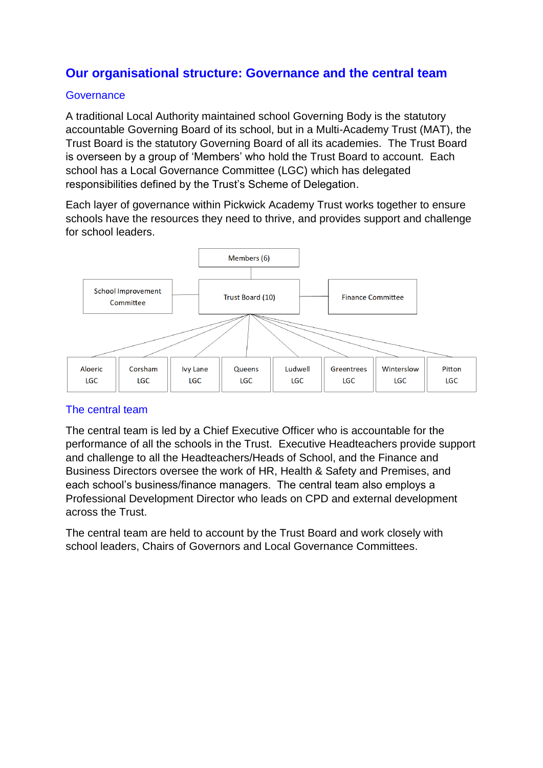## **Our organisational structure: Governance and the central team**

### **Governance**

A traditional Local Authority maintained school Governing Body is the statutory accountable Governing Board of its school, but in a Multi-Academy Trust (MAT), the Trust Board is the statutory Governing Board of all its academies. The Trust Board is overseen by a group of 'Members' who hold the Trust Board to account. Each school has a Local Governance Committee (LGC) which has delegated responsibilities defined by the Trust's Scheme of Delegation.

Each layer of governance within Pickwick Academy Trust works together to ensure schools have the resources they need to thrive, and provides support and challenge for school leaders.



### The central team

The central team is led by a Chief Executive Officer who is accountable for the performance of all the schools in the Trust. Executive Headteachers provide support and challenge to all the Headteachers/Heads of School, and the Finance and Business Directors oversee the work of HR, Health & Safety and Premises, and each school's business/finance managers. The central team also employs a Professional Development Director who leads on CPD and external development across the Trust.

The central team are held to account by the Trust Board and work closely with school leaders, Chairs of Governors and Local Governance Committees.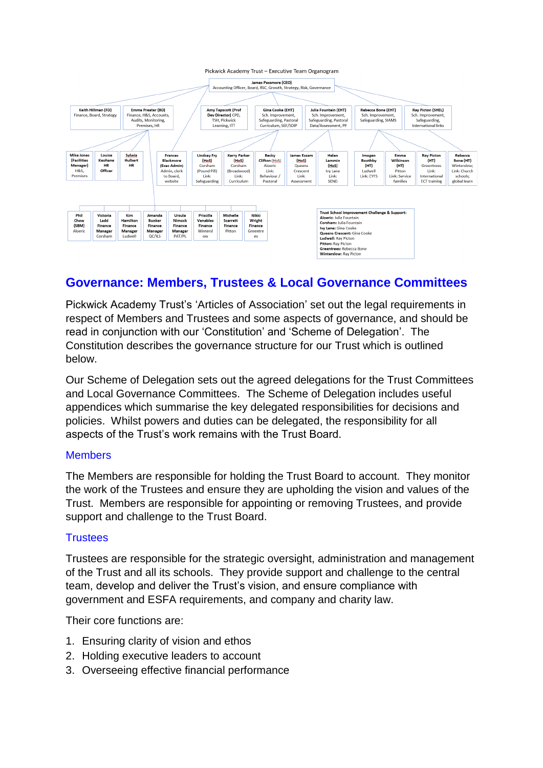

## **Governance: Members, Trustees & Local Governance Committees**

Pickwick Academy Trust's 'Articles of Association' set out the legal requirements in respect of Members and Trustees and some aspects of governance, and should be read in conjunction with our 'Constitution' and 'Scheme of Delegation'. The Constitution describes the governance structure for our Trust which is outlined below.

Our Scheme of Delegation sets out the agreed delegations for the Trust Committees and Local Governance Committees. The Scheme of Delegation includes useful appendices which summarise the key delegated responsibilities for decisions and policies. Whilst powers and duties can be delegated, the responsibility for all aspects of the Trust's work remains with the Trust Board.

### Members

The Members are responsible for holding the Trust Board to account. They monitor the work of the Trustees and ensure they are upholding the vision and values of the Trust. Members are responsible for appointing or removing Trustees, and provide support and challenge to the Trust Board.

### **Trustees**

Trustees are responsible for the strategic oversight, administration and management of the Trust and all its schools. They provide support and challenge to the central team, develop and deliver the Trust's vision, and ensure compliance with government and ESFA requirements, and company and charity law.

Their core functions are:

- 1. Ensuring clarity of vision and ethos
- 2. Holding executive leaders to account
- 3. Overseeing effective financial performance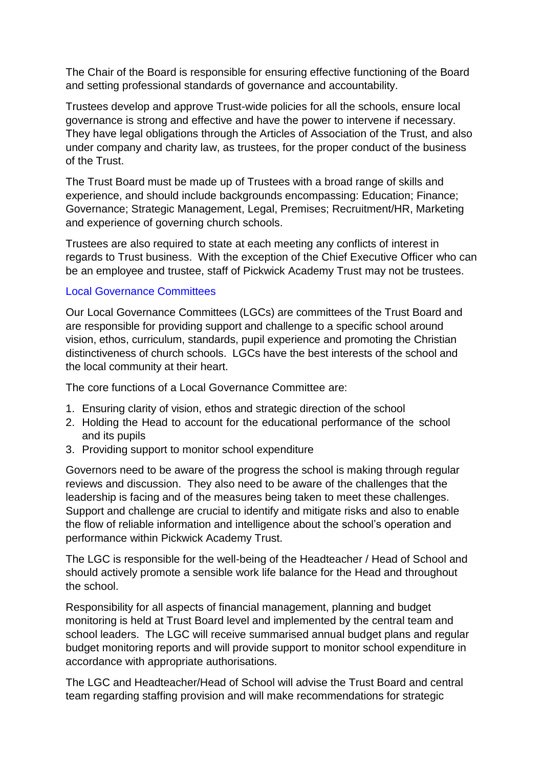The Chair of the Board is responsible for ensuring effective functioning of the Board and setting professional standards of governance and accountability.

Trustees develop and approve Trust-wide policies for all the schools, ensure local governance is strong and effective and have the power to intervene if necessary. They have legal obligations through the Articles of Association of the Trust, and also under company and charity law, as trustees, for the proper conduct of the business of the Trust.

The Trust Board must be made up of Trustees with a broad range of skills and experience, and should include backgrounds encompassing: Education; Finance; Governance; Strategic Management, Legal, Premises; Recruitment/HR, Marketing and experience of governing church schools.

Trustees are also required to state at each meeting any conflicts of interest in regards to Trust business. With the exception of the Chief Executive Officer who can be an employee and trustee, staff of Pickwick Academy Trust may not be trustees.

### Local Governance Committees

Our Local Governance Committees (LGCs) are committees of the Trust Board and are responsible for providing support and challenge to a specific school around vision, ethos, curriculum, standards, pupil experience and promoting the Christian distinctiveness of church schools. LGCs have the best interests of the school and the local community at their heart.

The core functions of a Local Governance Committee are:

- 1. Ensuring clarity of vision, ethos and strategic direction of the school
- 2. Holding the Head to account for the educational performance of the school and its pupils
- 3. Providing support to monitor school expenditure

Governors need to be aware of the progress the school is making through regular reviews and discussion. They also need to be aware of the challenges that the leadership is facing and of the measures being taken to meet these challenges. Support and challenge are crucial to identify and mitigate risks and also to enable the flow of reliable information and intelligence about the school's operation and performance within Pickwick Academy Trust.

The LGC is responsible for the well-being of the Headteacher / Head of School and should actively promote a sensible work life balance for the Head and throughout the school.

Responsibility for all aspects of financial management, planning and budget monitoring is held at Trust Board level and implemented by the central team and school leaders. The LGC will receive summarised annual budget plans and regular budget monitoring reports and will provide support to monitor school expenditure in accordance with appropriate authorisations.

The LGC and Headteacher/Head of School will advise the Trust Board and central team regarding staffing provision and will make recommendations for strategic